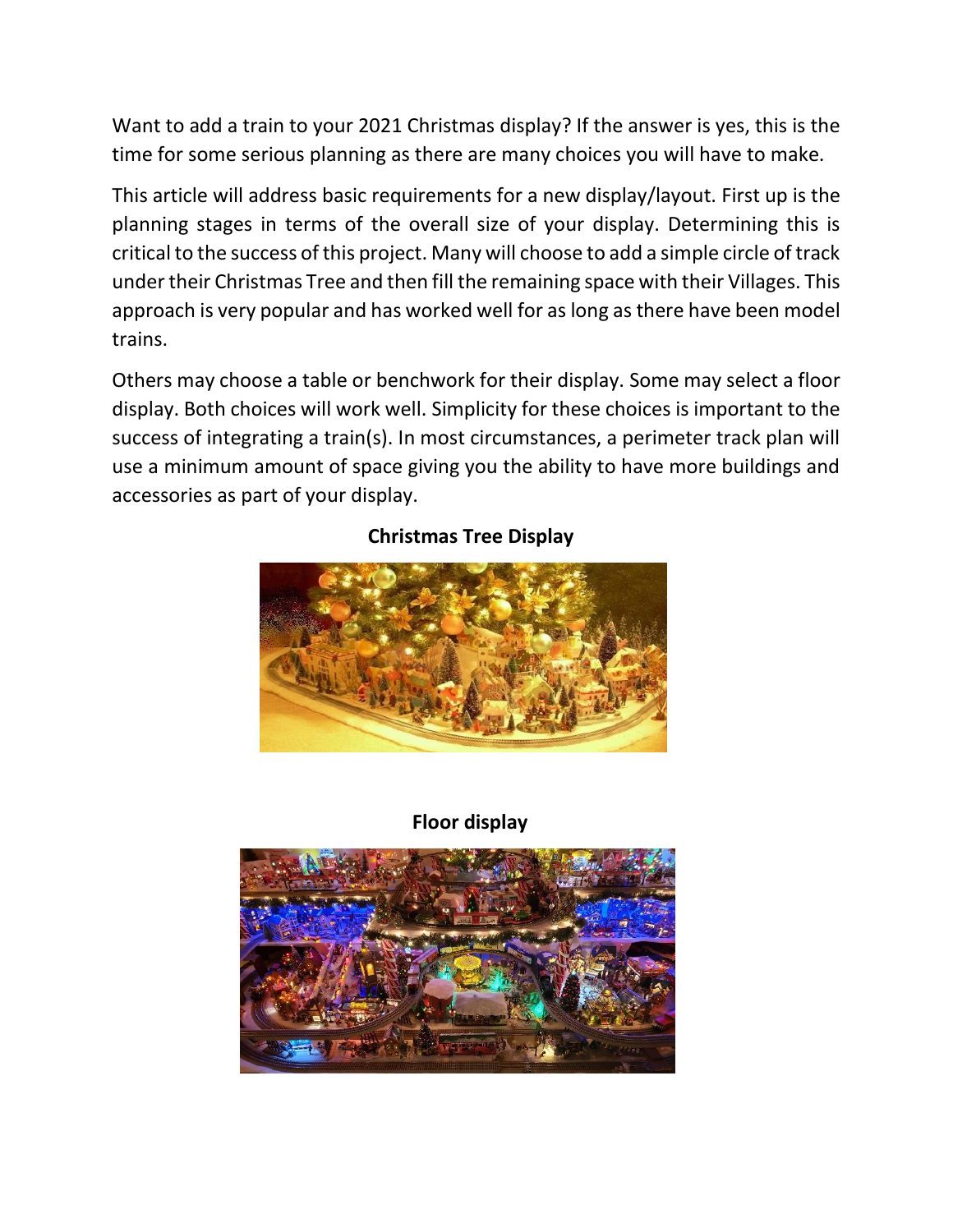Want to add a train to your 2021 Christmas display? If the answer is yes, this is the time for some serious planning as there are many choices you will have to make.

This article will address basic requirements for a new display/layout. First up is the planning stages in terms of the overall size of your display. Determining this is critical to the success of this project. Many will choose to add a simple circle of track under their Christmas Tree and then fill the remaining space with their Villages. This approach is very popular and has worked well for as long as there have been model trains.

Others may choose a table or benchwork for their display. Some may select a floor display. Both choices will work well. Simplicity for these choices is important to the success of integrating a train(s). In most circumstances, a perimeter track plan will use a minimum amount of space giving you the ability to have more buildings and accessories as part of your display.



## **Christmas Tree Display**

## **Floor display**

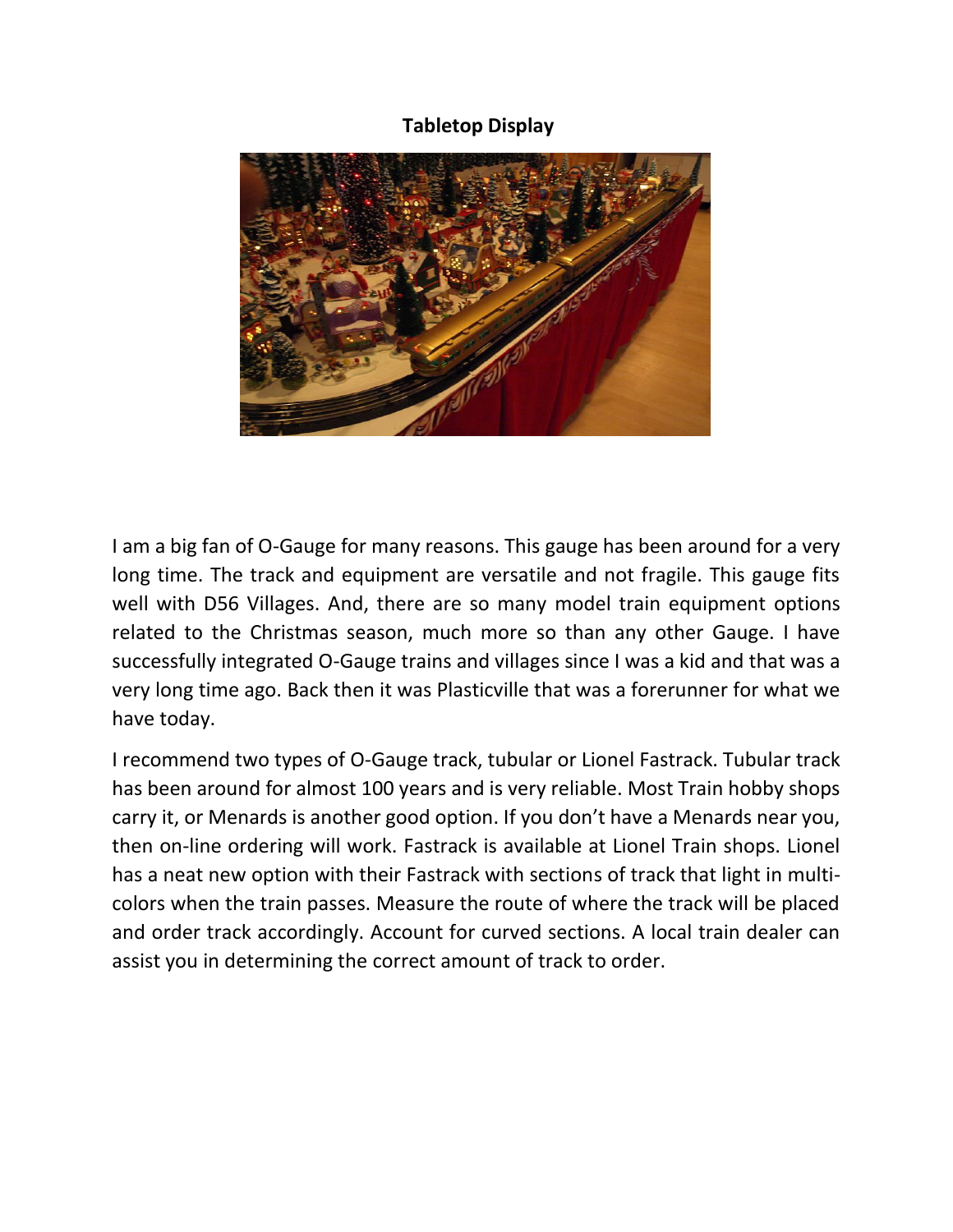## **Tabletop Display**



I am a big fan of O-Gauge for many reasons. This gauge has been around for a very long time. The track and equipment are versatile and not fragile. This gauge fits well with D56 Villages. And, there are so many model train equipment options related to the Christmas season, much more so than any other Gauge. I have successfully integrated O-Gauge trains and villages since I was a kid and that was a very long time ago. Back then it was Plasticville that was a forerunner for what we have today.

I recommend two types of O-Gauge track, tubular or Lionel Fastrack. Tubular track has been around for almost 100 years and is very reliable. Most Train hobby shops carry it, or Menards is another good option. If you don't have a Menards near you, then on-line ordering will work. Fastrack is available at Lionel Train shops. Lionel has a neat new option with their Fastrack with sections of track that light in multicolors when the train passes. Measure the route of where the track will be placed and order track accordingly. Account for curved sections. A local train dealer can assist you in determining the correct amount of track to order.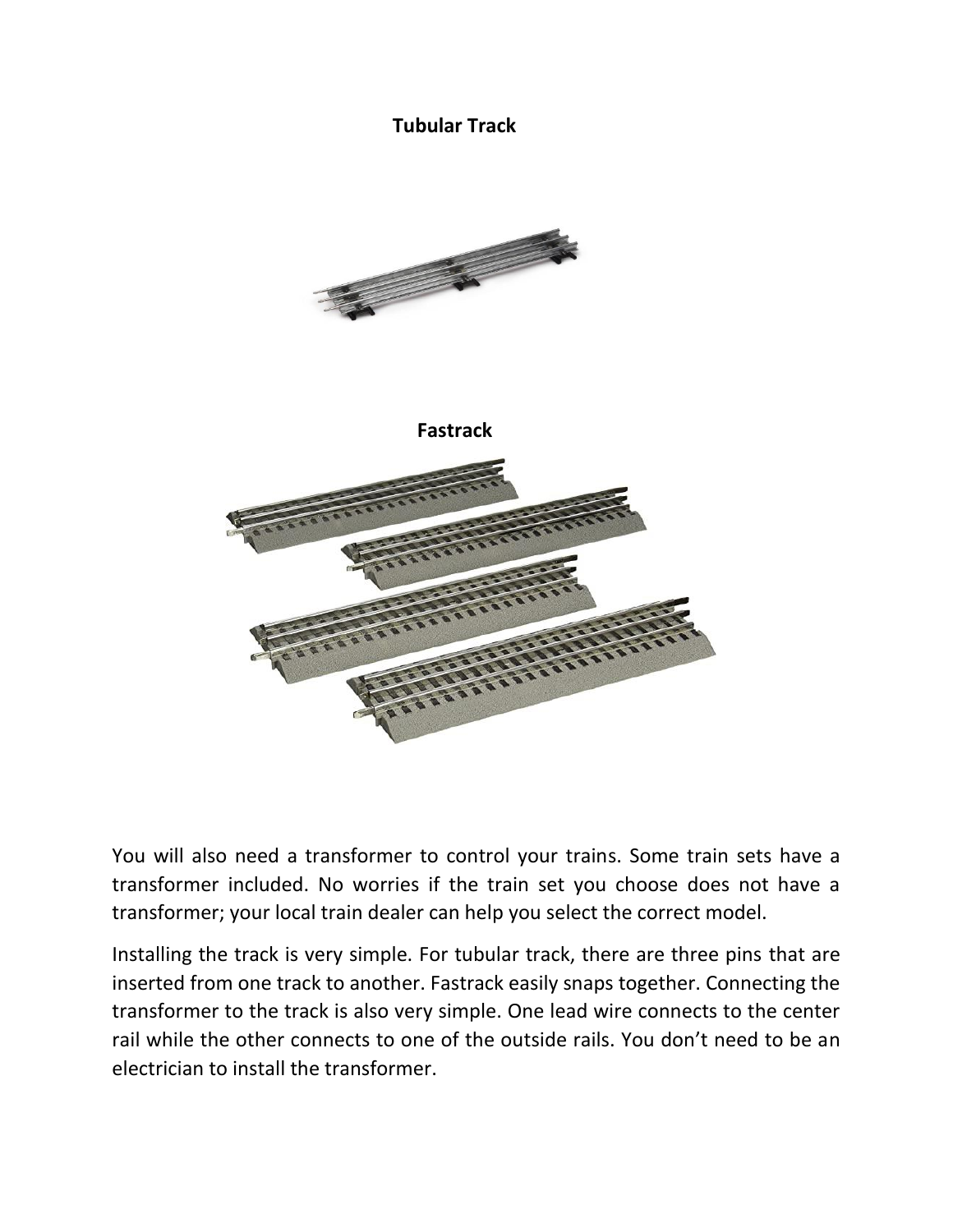## **Tubular Track**





You will also need a transformer to control your trains. Some train sets have a transformer included. No worries if the train set you choose does not have a transformer; your local train dealer can help you select the correct model.

Installing the track is very simple. For tubular track, there are three pins that are inserted from one track to another. Fastrack easily snaps together. Connecting the transformer to the track is also very simple. One lead wire connects to the center rail while the other connects to one of the outside rails. You don't need to be an electrician to install the transformer.